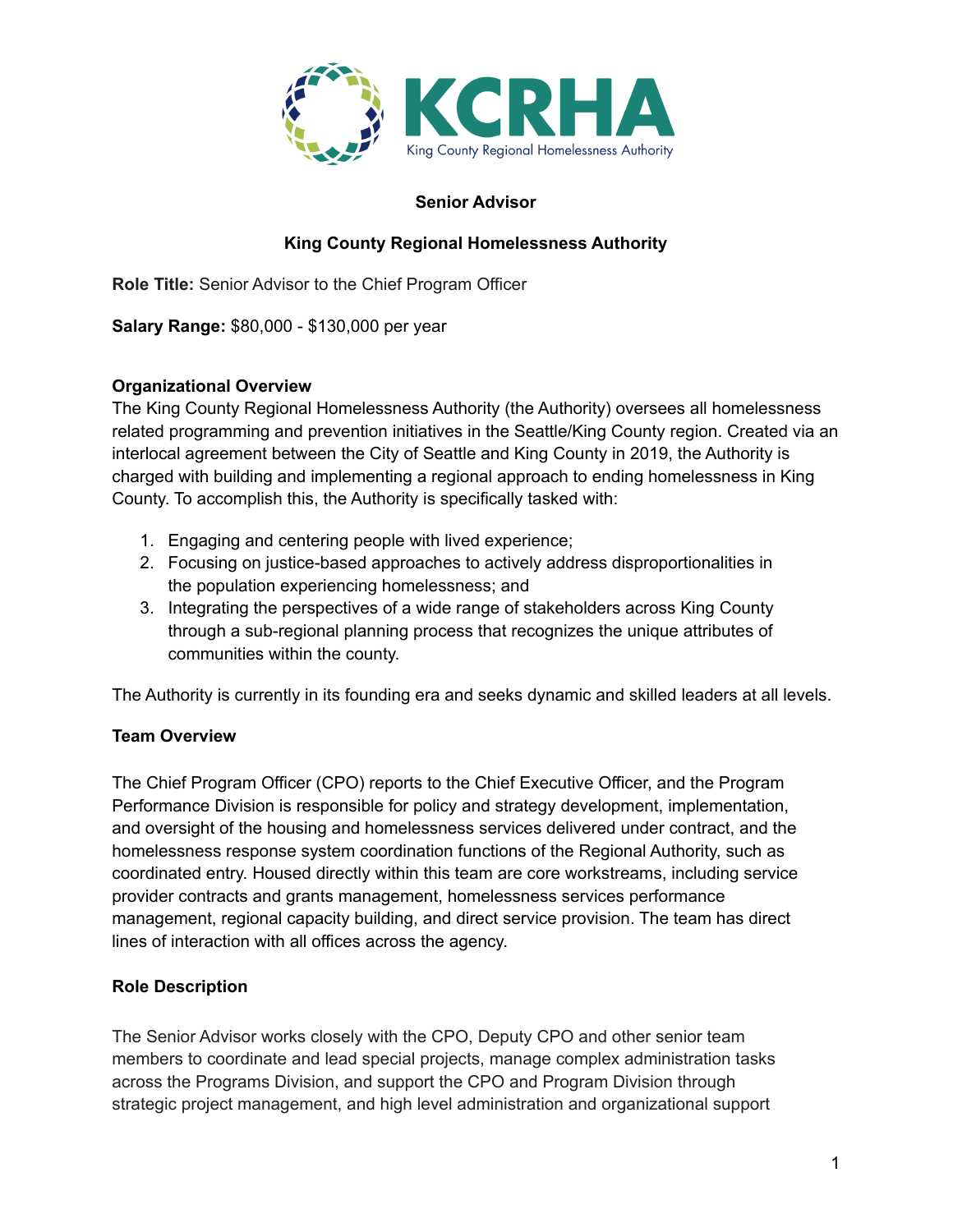

#### **Senior Advisor**

# **King County Regional Homelessness Authority**

**Role Title:** Senior Advisor to the Chief Program Officer

**Salary Range:** \$80,000 - \$130,000 per year

#### **Organizational Overview**

The King County Regional Homelessness Authority (the Authority) oversees all homelessness related programming and prevention initiatives in the Seattle/King County region. Created via an interlocal agreement between the City of Seattle and King County in 2019, the Authority is charged with building and implementing a regional approach to ending homelessness in King County. To accomplish this, the Authority is specifically tasked with:

- 1. Engaging and centering people with lived experience;
- 2. Focusing on justice-based approaches to actively address disproportionalities in the population experiencing homelessness; and
- 3. Integrating the perspectives of a wide range of stakeholders across King County through a sub-regional planning process that recognizes the unique attributes of communities within the county.

The Authority is currently in its founding era and seeks dynamic and skilled leaders at all levels.

## **Team Overview**

The Chief Program Officer (CPO) reports to the Chief Executive Officer, and the Program Performance Division is responsible for policy and strategy development, implementation, and oversight of the housing and homelessness services delivered under contract, and the homelessness response system coordination functions of the Regional Authority, such as coordinated entry. Housed directly within this team are core workstreams, including service provider contracts and grants management, homelessness services performance management, regional capacity building, and direct service provision. The team has direct lines of interaction with all offices across the agency.

## **Role Description**

The Senior Advisor works closely with the CPO, Deputy CPO and other senior team members to coordinate and lead special projects, manage complex administration tasks across the Programs Division, and support the CPO and Program Division through strategic project management, and high level administration and organizational support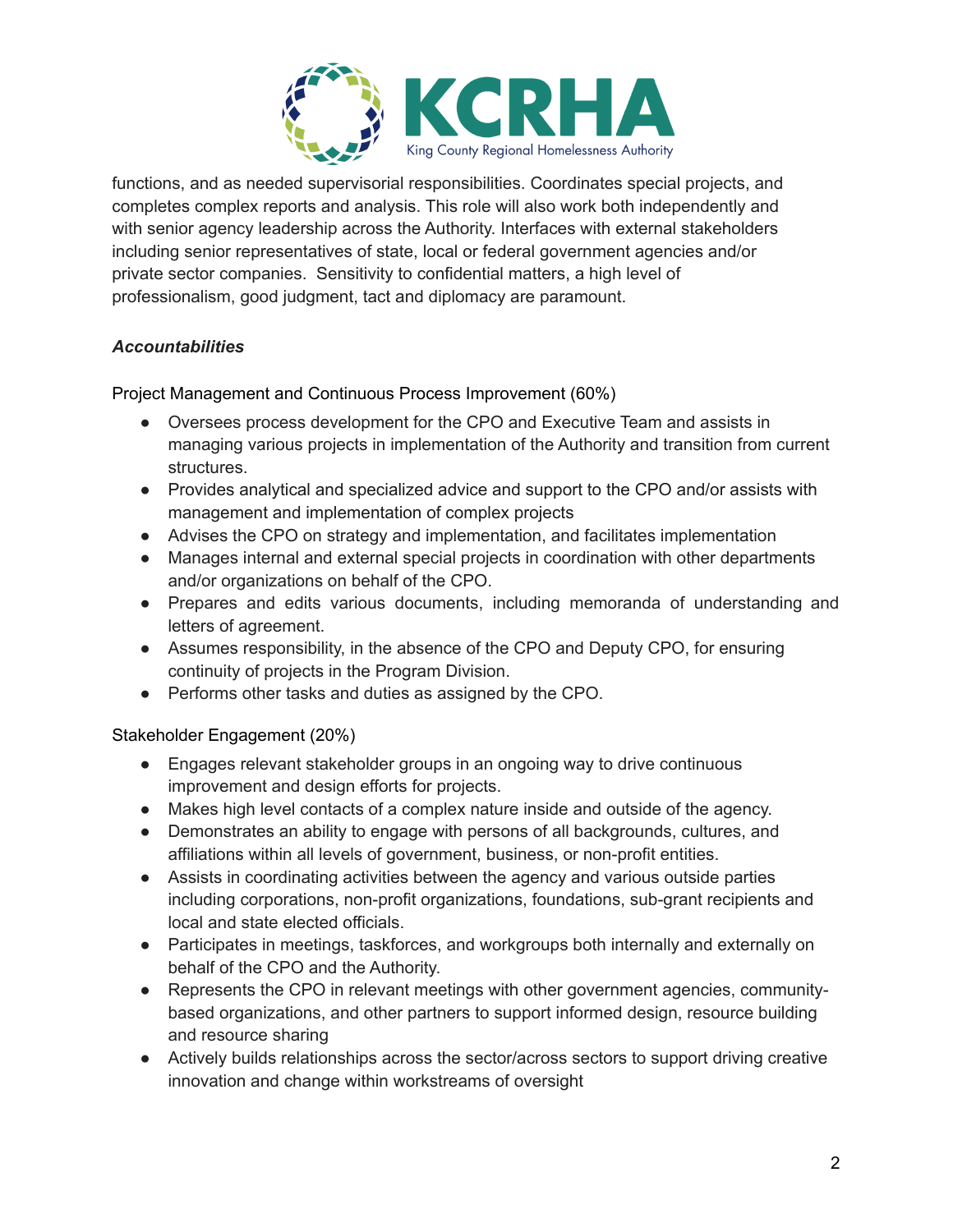

functions, and as needed supervisorial responsibilities. Coordinates special projects, and completes complex reports and analysis. This role will also work both independently and with senior agency leadership across the Authority. Interfaces with external stakeholders including senior representatives of state, local or federal government agencies and/or private sector companies. Sensitivity to confidential matters, a high level of professionalism, good judgment, tact and diplomacy are paramount.

# *Accountabilities*

Project Management and Continuous Process Improvement (60%)

- Oversees process development for the CPO and Executive Team and assists in managing various projects in implementation of the Authority and transition from current structures.
- Provides analytical and specialized advice and support to the CPO and/or assists with management and implementation of complex projects
- Advises the CPO on strategy and implementation, and facilitates implementation
- Manages internal and external special projects in coordination with other departments and/or organizations on behalf of the CPO.
- Prepares and edits various documents, including memoranda of understanding and letters of agreement.
- Assumes responsibility, in the absence of the CPO and Deputy CPO, for ensuring continuity of projects in the Program Division.
- Performs other tasks and duties as assigned by the CPO.

Stakeholder Engagement (20%)

- Engages relevant stakeholder groups in an ongoing way to drive continuous improvement and design efforts for projects.
- Makes high level contacts of a complex nature inside and outside of the agency.
- Demonstrates an ability to engage with persons of all backgrounds, cultures, and affiliations within all levels of government, business, or non-profit entities.
- Assists in coordinating activities between the agency and various outside parties including corporations, non-profit organizations, foundations, sub-grant recipients and local and state elected officials.
- Participates in meetings, taskforces, and workgroups both internally and externally on behalf of the CPO and the Authority.
- Represents the CPO in relevant meetings with other government agencies, communitybased organizations, and other partners to support informed design, resource building and resource sharing
- Actively builds relationships across the sector/across sectors to support driving creative innovation and change within workstreams of oversight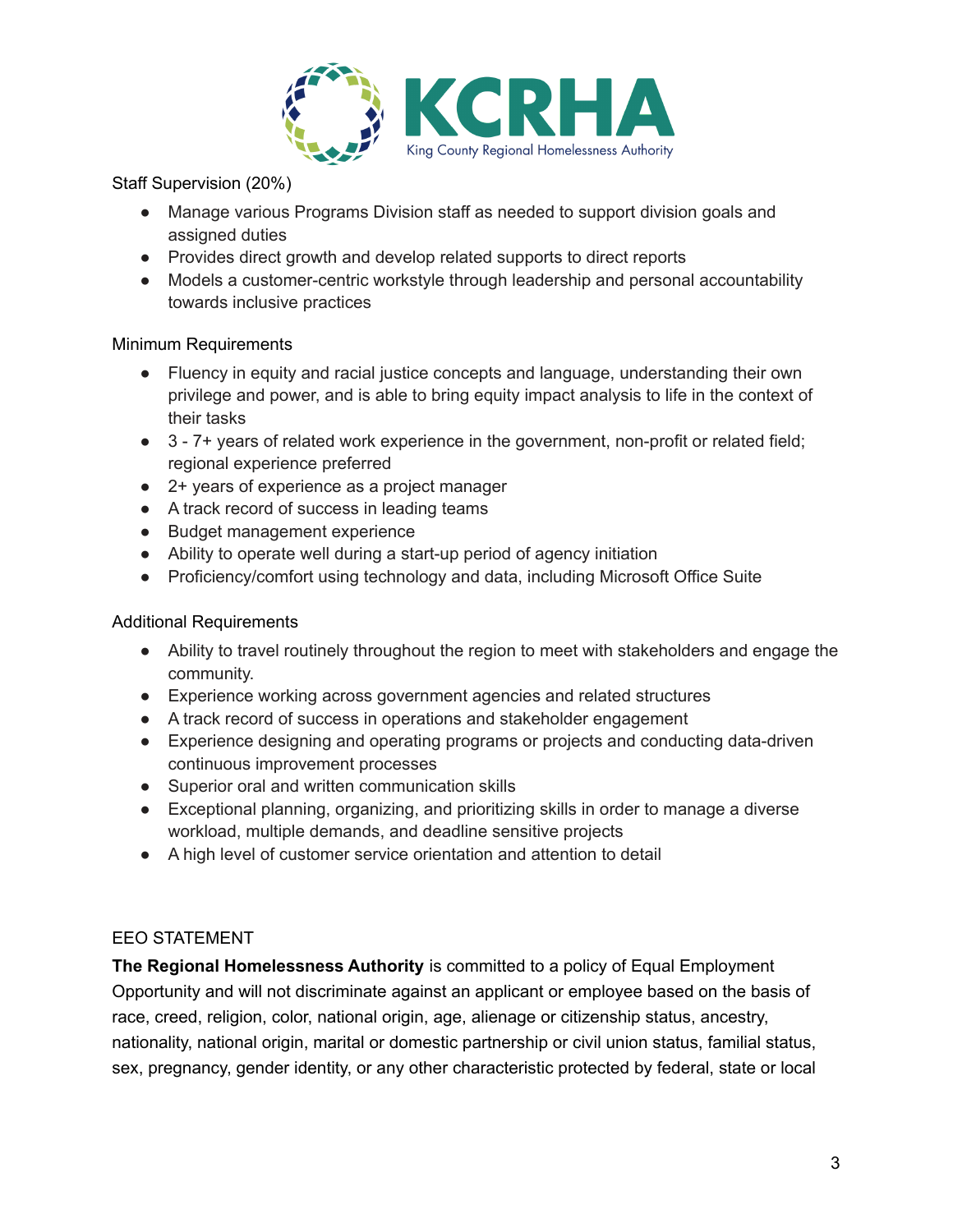

Staff Supervision (20%)

- Manage various Programs Division staff as needed to support division goals and assigned duties
- Provides direct growth and develop related supports to direct reports
- Models a customer-centric workstyle through leadership and personal accountability towards inclusive practices

#### Minimum Requirements

- Fluency in equity and racial justice concepts and language, understanding their own privilege and power, and is able to bring equity impact analysis to life in the context of their tasks
- 3 7+ years of related work experience in the government, non-profit or related field; regional experience preferred
- 2+ years of experience as a project manager
- A track record of success in leading teams
- Budget management experience
- Ability to operate well during a start-up period of agency initiation
- Proficiency/comfort using technology and data, including Microsoft Office Suite

## Additional Requirements

- Ability to travel routinely throughout the region to meet with stakeholders and engage the community.
- Experience working across government agencies and related structures
- A track record of success in operations and stakeholder engagement
- Experience designing and operating programs or projects and conducting data-driven continuous improvement processes
- Superior oral and written communication skills
- Exceptional planning, organizing, and prioritizing skills in order to manage a diverse workload, multiple demands, and deadline sensitive projects
- A high level of customer service orientation and attention to detail

# EEO STATEMENT

**The Regional Homelessness Authority** is committed to a policy of Equal Employment Opportunity and will not discriminate against an applicant or employee based on the basis of race, creed, religion, color, national origin, age, alienage or citizenship status, ancestry, nationality, national origin, marital or domestic partnership or civil union status, familial status, sex, pregnancy, gender identity, or any other characteristic protected by federal, state or local